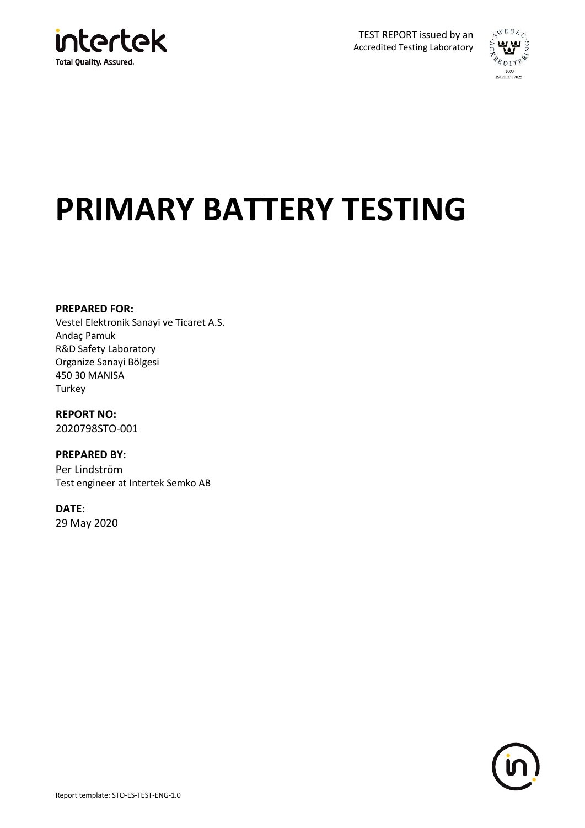



# **PRIMARY BATTERY TESTING**

#### **PREPARED FOR:**

Vestel Elektronik Sanayi ve Ticaret A.S. Andaç Pamuk R&D Safety Laboratory Organize Sanayi Bölgesi 450 30 MANISA **Turkey** 

**REPORT NO:** 2020798STO-001

**PREPARED BY:** Per Lindström Test engineer at Intertek Semko AB

**DATE:** 29 May 2020

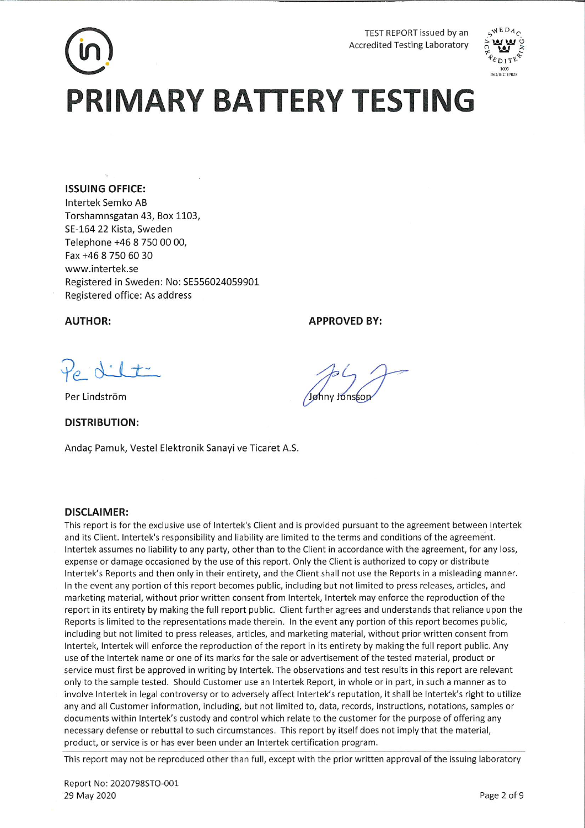# TEST REPORT issued by an **Accredited Testing Laboratory PRIMARY BATTERY TESTING**

#### **ISSUING OFFICE:**

Intertek Semko AB Torshamnsgatan 43, Box 1103, SE-164 22 Kista, Sweden Telephone +46 8 750 00 00, Fax +46 8 750 60 30 www.intertek.se Registered in Sweden: No: SE556024059901 Registered office: As address

**AUTHOR:** 

#### **APPROVED BY:**

Po dilt

Per Lindström

**DISTRIBUTION:** 

Andaç Pamuk, Vestel Elektronik Sanayi ve Ticaret A.S.

#### **DISCLAIMER:**

This report is for the exclusive use of Intertek's Client and is provided pursuant to the agreement between Intertek and its Client. Intertek's responsibility and liability are limited to the terms and conditions of the agreement. Intertek assumes no liability to any party, other than to the Client in accordance with the agreement, for any loss, expense or damage occasioned by the use of this report. Only the Client is authorized to copy or distribute Intertek's Reports and then only in their entirety, and the Client shall not use the Reports in a misleading manner. In the event any portion of this report becomes public, including but not limited to press releases, articles, and marketing material, without prior written consent from Intertek, Intertek may enforce the reproduction of the report in its entirety by making the full report public. Client further agrees and understands that reliance upon the Reports is limited to the representations made therein. In the event any portion of this report becomes public, including but not limited to press releases, articles, and marketing material, without prior written consent from Intertek, Intertek will enforce the reproduction of the report in its entirety by making the full report public. Any use of the Intertek name or one of its marks for the sale or advertisement of the tested material, product or service must first be approved in writing by Intertek. The observations and test results in this report are relevant only to the sample tested. Should Customer use an Intertek Report, in whole or in part, in such a manner as to involve Intertek in legal controversy or to adversely affect Intertek's reputation, it shall be Intertek's right to utilize any and all Customer information, including, but not limited to, data, records, instructions, notations, samples or documents within Intertek's custody and control which relate to the customer for the purpose of offering any necessary defense or rebuttal to such circumstances. This report by itself does not imply that the material, product, or service is or has ever been under an Intertek certification program.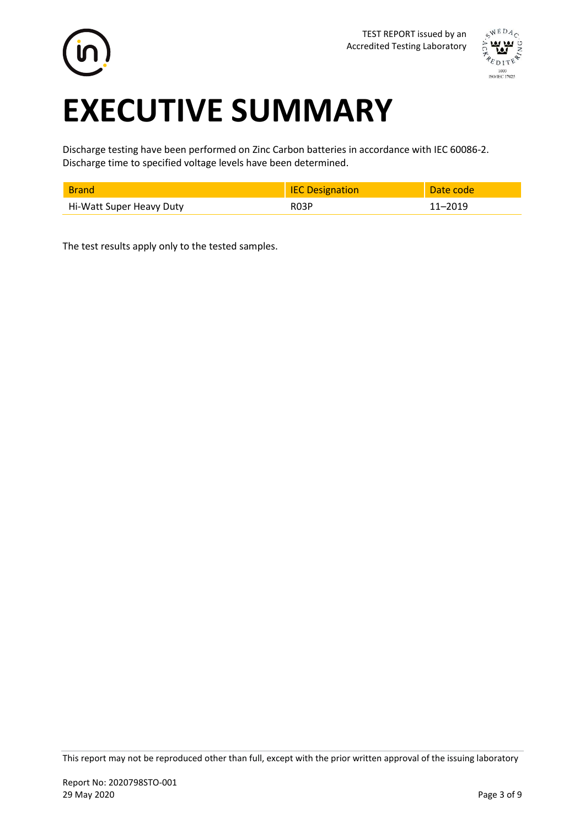



# **EXECUTIVE SUMMARY**

Discharge testing have been performed on Zinc Carbon batteries in accordance with IEC 60086-2. Discharge time to specified voltage levels have been determined.

|                          | <b>IEC Designation</b> | Date codel |
|--------------------------|------------------------|------------|
| Hi-Watt Super Heavy Duty | <b>R03P</b>            | 1–2019     |

The test results apply only to the tested samples.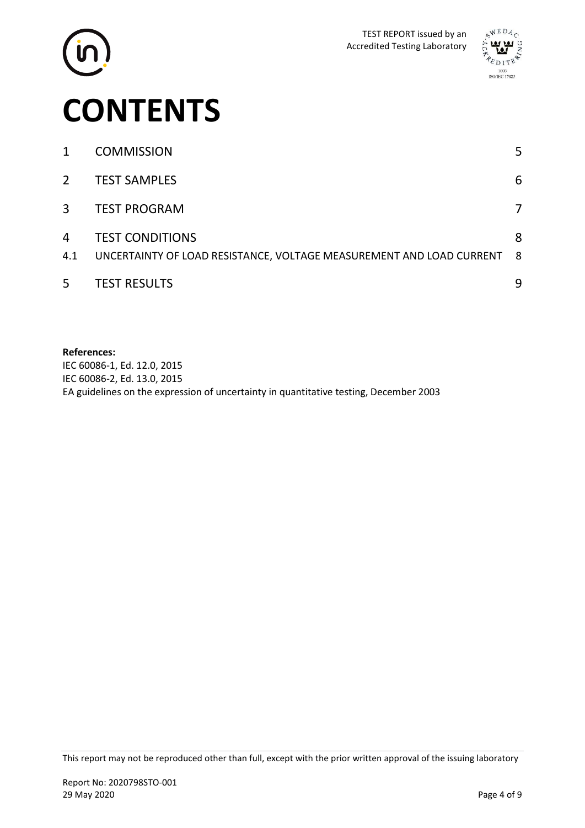



| 1              | <b>COMMISSION</b>                                                                              | 5        |
|----------------|------------------------------------------------------------------------------------------------|----------|
| $2^{\circ}$    | <b>TEST SAMPLES</b>                                                                            | 6        |
| $\overline{3}$ | <b>TEST PROGRAM</b>                                                                            | 7        |
| 4<br>4.1       | <b>TEST CONDITIONS</b><br>UNCERTAINTY OF LOAD RESISTANCE, VOLTAGE MEASUREMENT AND LOAD CURRENT | 8<br>- 8 |
| 5              | <b>TEST RESULTS</b>                                                                            | 9        |

#### **References:**

IEC 60086-1, Ed. 12.0, 2015 IEC 60086-2, Ed. 13.0, 2015 EA guidelines on the expression of uncertainty in quantitative testing, December 2003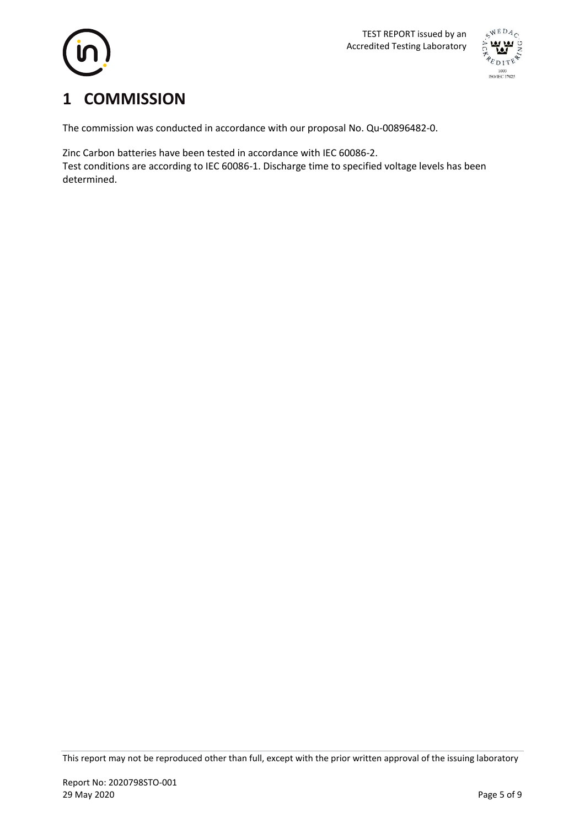



# <span id="page-4-0"></span>**1 COMMISSION**

The commission was conducted in accordance with our proposal No. Qu-00896482-0.

Zinc Carbon batteries have been tested in accordance with IEC 60086-2. Test conditions are according to IEC 60086-1. Discharge time to specified voltage levels has been determined.

This report may not be reproduced other than full, except with the prior written approval of the issuing laboratory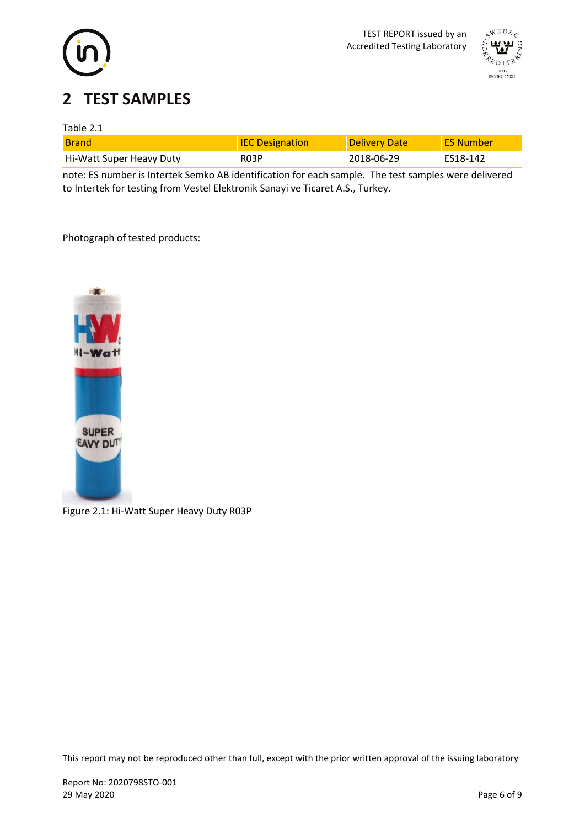



# <span id="page-5-0"></span>**2 TEST SAMPLES**

### Table 2.1

| <b>Brand</b>             | <b>IEC Designation</b> | <b>Delivery Date</b> | <b>FS Number</b> |
|--------------------------|------------------------|----------------------|------------------|
| Hi-Watt Super Heavy Duty | R03P                   | 2018-06-29           | FS18-142         |

note: ES number is Intertek Semko AB identification for each sample. The test samples were delivered to Intertek for testing from Vestel Elektronik Sanayi ve Ticaret A.S., Turkey.

Photograph of tested products:



Figure 2.1: Hi-Watt Super Heavy Duty R03P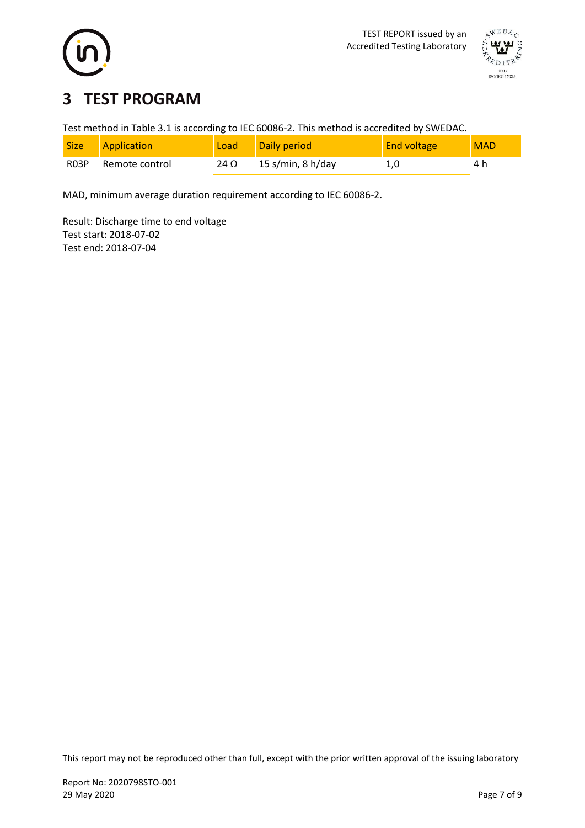



# <span id="page-6-0"></span>**3 TEST PROGRAM**

Test method in Table 3.1 is according to IEC 60086-2. This method is accredited by SWEDAC.

| <b>Size</b>       | Application    | Load | Daily period      | <b>End voltage</b> | <b>MAD</b> |
|-------------------|----------------|------|-------------------|--------------------|------------|
| R <sub>0</sub> 3P | Remote control | 24 Ω | 15 s/min, 8 h/day |                    |            |

MAD, minimum average duration requirement according to IEC 60086-2.

Result: Discharge time to end voltage Test start: 2018-07-02 Test end: 2018-07-04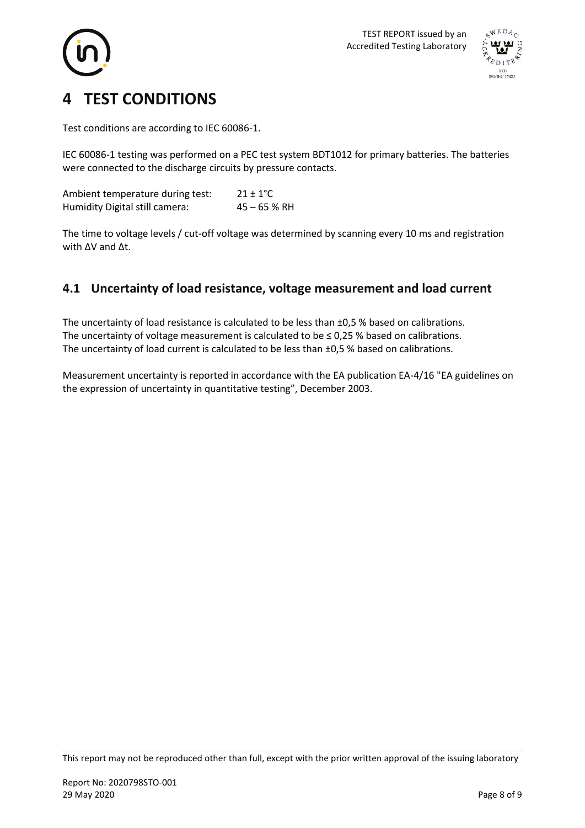



# <span id="page-7-0"></span>**4 TEST CONDITIONS**

Test conditions are according to IEC 60086-1.

IEC 60086-1 testing was performed on a PEC test system BDT1012 for primary batteries. The batteries were connected to the discharge circuits by pressure contacts.

Ambient temperature during test:  $21 \pm 1^{\circ}C$ Humidity Digital still camera: 45 - 65 % RH

The time to voltage levels / cut-off voltage was determined by scanning every 10 ms and registration with ∆V and ∆t.

### <span id="page-7-1"></span>**4.1 Uncertainty of load resistance, voltage measurement and load current**

The uncertainty of load resistance is calculated to be less than  $\pm 0.5$  % based on calibrations. The uncertainty of voltage measurement is calculated to be  $\leq 0.25$  % based on calibrations. The uncertainty of load current is calculated to be less than ±0,5 % based on calibrations.

Measurement uncertainty is reported in accordance with the EA publication EA-4/16 "EA guidelines on the expression of uncertainty in quantitative testing", December 2003.

This report may not be reproduced other than full, except with the prior written approval of the issuing laboratory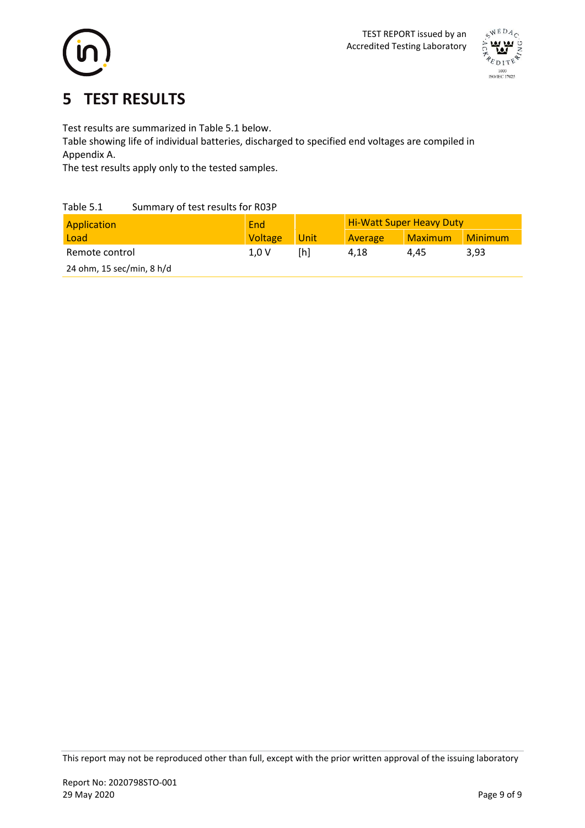



## <span id="page-8-0"></span>**5 TEST RESULTS**

Test results are summarized in Table 5.1 below.

Table showing life of individual batteries, discharged to specified end voltages are compiled in Appendix A.

The test results apply only to the tested samples.

### Table 5.1 Summary of test results for R03P

| Application               | End     |      | <b>Hi-Watt Super Heavy Duty</b> |                |                |  |
|---------------------------|---------|------|---------------------------------|----------------|----------------|--|
| Load                      | Voltage | Unit | Average                         | <b>Maximum</b> | <b>Minimum</b> |  |
| Remote control            | 1.0V    | [h]  | 4.18                            | 4.45           | 3,93           |  |
| 24 ohm, 15 sec/min, 8 h/d |         |      |                                 |                |                |  |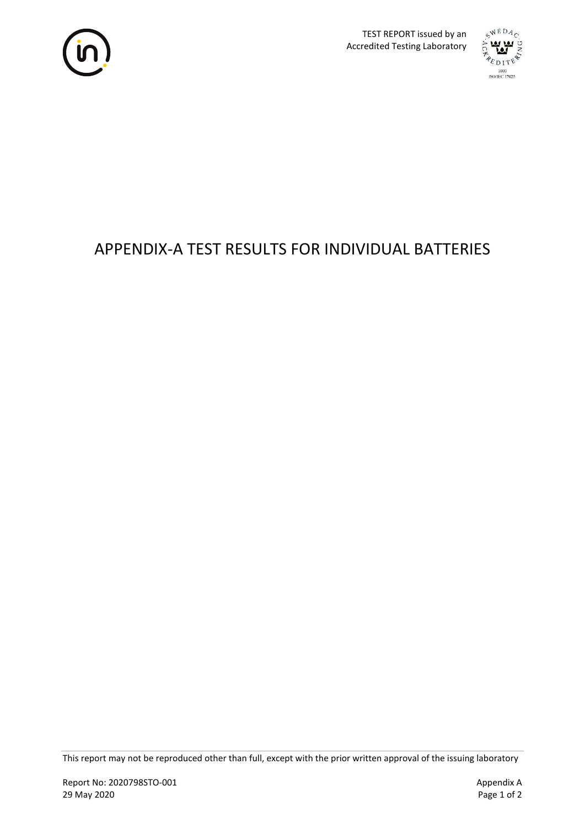



# APPENDIX-A TEST RESULTS FOR INDIVIDUAL BATTERIES